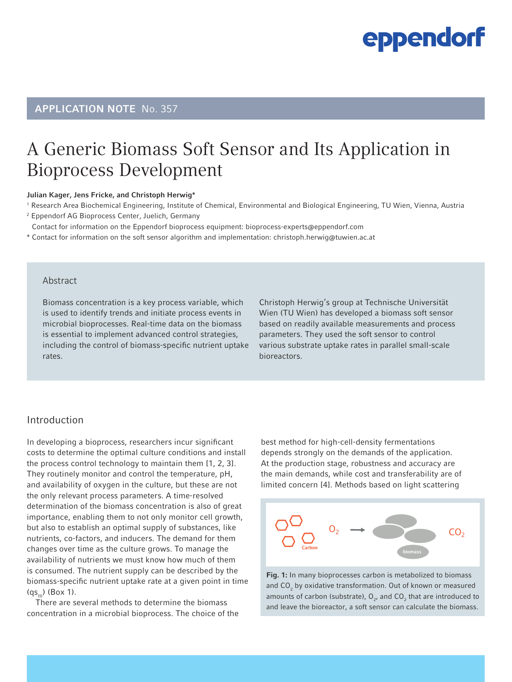### APPLICATION NOTE No. 357

### A Generic Biomass Soft Sensor and Its Application in Bioprocess Development

#### Julian Kager, Jens Fricke, and Christoph Herwig\*

<sup>1</sup> Research Area Biochemical Engineering, Institute of Chemical, Environmental and Biological Engineering, TU Wien, Vienna, Austria

2 Eppendorf AG Bioprocess Center, Juelich, Germany

\* Contact for information on the Eppendorf bioprocess equipment: bioprocess-experts@eppendorf.com

\* Contact for information on the soft sensor algorithm and implementation: christoph.herwig@tuwien.ac.at

### Abstract

Biomass concentration is a key process variable, which is used to identify trends and initiate process events in microbial bioprocesses. Real-time data on the biomass is essential to implement advanced control strategies, including the control of biomass-specific nutrient uptake rates.

Christoph Herwig's group at Technische Universität Wien (TU Wien) has developed a biomass soft sensor based on readily available measurements and process parameters. They used the soft sensor to control various substrate uptake rates in parallel small-scale bioreactors.

### Introduction

In developing a bioprocess, researchers incur significant costs to determine the optimal culture conditions and install the process control technology to maintain them [1, 2, 3]. They routinely monitor and control the temperature, pH, and availability of oxygen in the culture, but these are not the only relevant process parameters. A time-resolved determination of the biomass concentration is also of great importance, enabling them to not only monitor cell growth, but also to establish an optimal supply of substances, like nutrients, co-factors, and inducers. The demand for them changes over time as the culture grows. To manage the availability of nutrients we must know how much of them is consumed. The nutrient supply can be described by the biomass-specific nutrient uptake rate at a given point in time  $(g_{s_{\omega}})$  (Box 1).

There are several methods to determine the biomass concentration in a microbial bioprocess. The choice of the best method for high-cell-density fermentations depends strongly on the demands of the application. At the production stage, robustness and accuracy are the main demands, while cost and transferability are of limited concern [4]. Methods based on light scattering



Fig. 1: In many bioprocesses carbon is metabolized to biomass and  $CO_2$  by oxidative transformation. Out of known or measured amounts of carbon (substrate),  $O_{2}$ , and  $CO_{2}$  that are introduced to and leave the bioreactor, a soft sensor can calculate the biomass.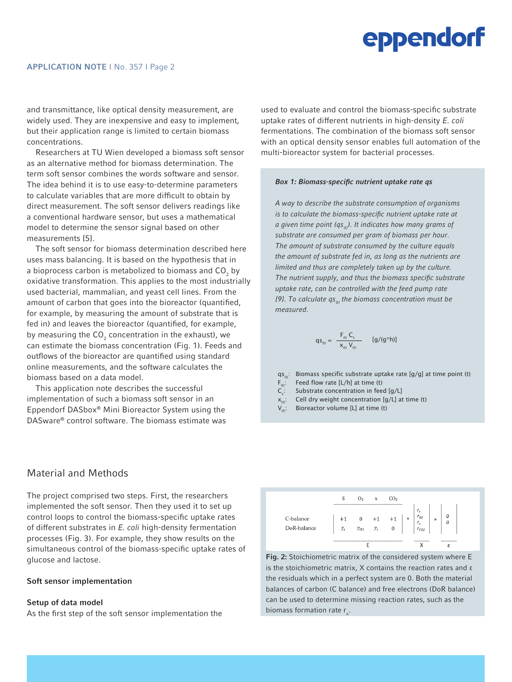and transmittance, like optical density measurement, are widely used. They are inexpensive and easy to implement, but their application range is limited to certain biomass concentrations.

Researchers at TU Wien developed a biomass soft sensor as an alternative method for biomass determination. The term soft sensor combines the words software and sensor. The idea behind it is to use easy-to-determine parameters to calculate variables that are more difficult to obtain by direct measurement. The soft sensor delivers readings like a conventional hardware sensor, but uses a mathematical model to determine the sensor signal based on other measurements [5].

The soft sensor for biomass determination described here uses mass balancing. It is based on the hypothesis that in a bioprocess carbon is metabolized to biomass and CO $_{_2}$  by oxidative transformation. This applies to the most industrially used bacterial, mammalian, and yeast cell lines. From the amount of carbon that goes into the bioreactor (quantified, for example, by measuring the amount of substrate that is fed in) and leaves the bioreactor (quantified, for example, by measuring the CO $_{\textrm{\tiny{2}}}$  concentration in the exhaust), we can estimate the biomass concentration (Fig. 1). Feeds and outflows of the bioreactor are quantified using standard online measurements, and the software calculates the biomass based on a data model.

This application note describes the successful implementation of such a biomass soft sensor in an Eppendorf DASbox® Mini Bioreactor System using the DASware® control software. The biomass estimate was

Material and Methods

The project comprised two steps. First, the researchers implemented the soft sensor. Then they used it to set up control loops to control the biomass-specific uptake rates of different substrates in *E. coli* high-density fermentation processes (Fig. 3). For example, they show results on the simultaneous control of the biomass-specific uptake rates of glucose and lactose.

#### Soft sensor implementation

#### Setup of data model

As the first step of the soft sensor implementation the

used to evaluate and control the biomass-specific substrate uptake rates of different nutrients in high-density *E. coli*  fermentations. The combination of the biomass soft sensor with an optical density sensor enables full automation of the multi-bioreactor system for bacterial processes.

#### *Box 1: Biomass-specific nutrient uptake rate qs*

*A way to describe the substrate consumption of organisms is to calculate the biomass-specific nutrient uptake rate at a given time point (qs(t)). It indicates how many grams of substrate are consumed per gram of biomass per hour. The amount of substrate consumed by the culture equals the amount of substrate fed in, as long as the nutrients are limited and thus are completely taken up by the culture. The nutrient supply, and thus the biomass specific substrate uptake rate, can be controlled with the feed pump rate*  [9]. To calculate qs<sub>*in</sub>* the biomass concentration must be</sub> *measured.*

$$
qs_{_{(t)}} = \frac{F_{_{(t)}} C_s}{x_{_{(t)}} V_{_{(t)}}} \qquad [g/(g^*h)]
$$

- qs<sub>(t)</sub>: Biomass specific substrate uptake rate [g/g] at time point (t)  $F_{\text{eq}}$ : Feed flow rate [L/h] at time (t)
- Feed flow rate  $[L/h]$  at time (t)
- $C_s$ : Substrate concentration in feed [g/L]
- $x_{tn}$ : Cell dry weight concentration [g/L] at time (t)
- Bioreactor volume [L] at time (t)



Fig. 2: Stoichiometric matrix of the considered system where E is the stoichiometric matrix, X contains the reaction rates and ε the residuals which in a perfect system are 0. Both the material balances of carbon (C balance) and free electrons (DoR balance) can be used to determine missing reaction rates, such as the biomass formation rate  $r_{x}$ .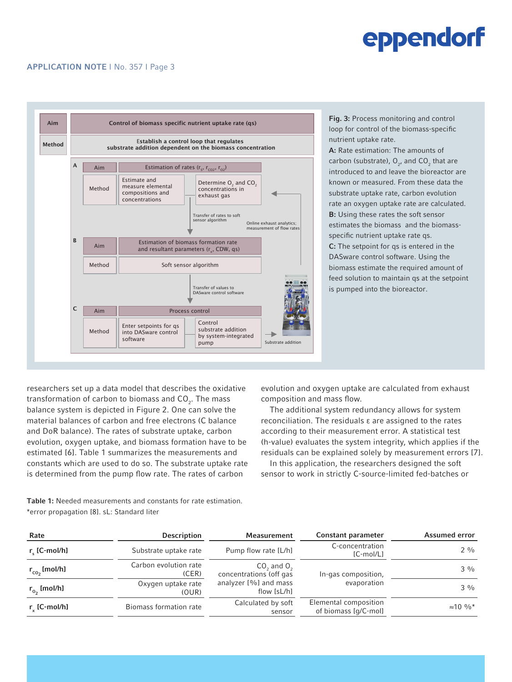#### APPLICATION NOTE I No. 357 I Page 3



Fig. 3: Process monitoring and control loop for control of the biomass-specific nutrient uptake rate.

A: Rate estimation: The amounts of carbon (substrate),  $O_{2}$ , and  $CO_{2}$  that are introduced to and leave the bioreactor are known or measured. From these data the substrate uptake rate, carbon evolution rate an oxygen uptake rate are calculated. **B:** Using these rates the soft sensor estimates the biomass and the biomassspecific nutrient uptake rate qs. C: The setpoint for qs is entered in the DASware control software. Using the biomass estimate the required amount of feed solution to maintain qs at the setpoint is pumped into the bioreactor.

researchers set up a data model that describes the oxidative transformation of carbon to biomass and CO $_2^{\vphantom{\dagger}}$  . The mass balance system is depicted in Figure 2. One can solve the material balances of carbon and free electrons (C balance and DoR balance). The rates of substrate uptake, carbon evolution, oxygen uptake, and biomass formation have to be estimated [6]. Table 1 summarizes the measurements and constants which are used to do so. The substrate uptake rate is determined from the pump flow rate. The rates of carbon

evolution and oxygen uptake are calculated from exhaust composition and mass flow.

The additional system redundancy allows for system reconciliation. The residuals ε are assigned to the rates according to their measurement error. A statistical test (h-value) evaluates the system integrity, which applies if the residuals can be explained solely by measurement errors [7].

In this application, the researchers designed the soft sensor to work in strictly C-source-limited fed-batches or

Table 1: Needed measurements and constants for rate estimation. \*error propagation [8]. sL: Standard liter

| Rate                  | <b>Description</b>             | Measurement                                                                       | Constant parameter                            | <b>Assumed error</b> |
|-----------------------|--------------------------------|-----------------------------------------------------------------------------------|-----------------------------------------------|----------------------|
| $r_{\rm c}$ [C-mol/h] | Substrate uptake rate          | Pump flow rate [L/h]                                                              | C-concentration<br>[C-mol/L]                  | $2 \frac{0}{0}$      |
| $r_{co2}$ [mol/h]     | Carbon evolution rate<br>(CER) | $CO2$ and $O2$<br>concentrations (off gas<br>analyzer [%] and mass<br>flow [sL/h] | In-gas composition,<br>evaporation            | $3\frac{0}{0}$       |
| $r_{o_2}$ [mol/h]     | Oxygen uptake rate<br>(OUR)    |                                                                                   |                                               | $3\frac{0}{0}$       |
| $r_{\nu}$ [C-mol/h]   | Biomass formation rate         | Calculated by soft<br>sensor                                                      | Elemental composition<br>of biomass [q/C-mol] | $\approx 10^{9}$     |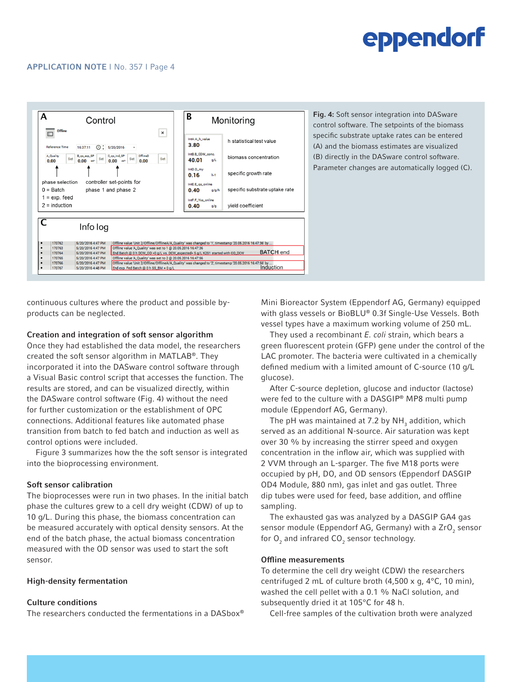

continuous cultures where the product and possible byproducts can be neglected.

#### Creation and integration of soft sensor algorithm

Once they had established the data model, the researchers created the soft sensor algorithm in MATLAB®. They incorporated it into the DASware control software through a Visual Basic control script that accesses the function. The results are stored, and can be visualized directly, within the DASware control software (Fig. 4) without the need for further customization or the establishment of OPC connections. Additional features like automated phase transition from batch to fed batch and induction as well as control options were included.

Figure 3 summarizes how the the soft sensor is integrated into the bioprocessing environment.

#### Soft sensor calibration

The bioprocesses were run in two phases. In the initial batch phase the cultures grew to a cell dry weight (CDW) of up to 10 g/L. During this phase, the biomass concentration can be measured accurately with optical density sensors. At the end of the batch phase, the actual biomass concentration measured with the OD sensor was used to start the soft sensor.

#### High-density fermentation

#### Culture conditions

The researchers conducted the fermentations in a DASbox®

Mini Bioreactor System (Eppendorf AG, Germany) equipped with glass vessels or BioBLU® 0.3f Single-Use Vessels. Both vessel types have a maximum working volume of 250 mL.

They used a recombinant *E. coli* strain, which bears a green fluorescent protein (GFP) gene under the control of the LAC promoter. The bacteria were cultivated in a chemically defined medium with a limited amount of C-source (10 g/L glucose).

After C-source depletion, glucose and inductor (lactose) were fed to the culture with a DASGIP® MP8 multi pump module (Eppendorf AG, Germany).

The pH was maintained at 7.2 by  $\mathsf{NH}_3$  addition, which served as an additional N-source. Air saturation was kept over 30 % by increasing the stirrer speed and oxygen concentration in the inflow air, which was supplied with 2 VVM through an L-sparger. The five M18 ports were occupied by pH, DO, and OD sensors (Eppendorf DASGIP OD4 Module, 880 nm), gas inlet and gas outlet. Three dip tubes were used for feed, base addition, and offline sampling.

The exhausted gas was analyzed by a DASGIP GA4 gas sensor module (Eppendorf AG, Germany) with a ZrO<sub>2</sub> sensor for  ${\sf O}_2$  and infrared  ${\sf CO}_2$  sensor technology.

#### Offline measurements

To determine the cell dry weight (CDW) the researchers centrifuged 2 mL of culture broth (4,500 x g, 4°C, 10 min), washed the cell pellet with a 0.1 % NaCl solution, and subsequently dried it at 105°C for 48 h.

Cell-free samples of the cultivation broth were analyzed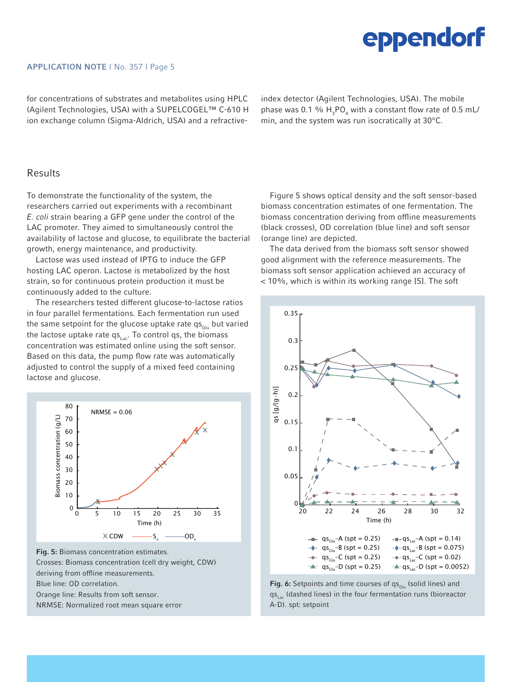#### APPLICATION NOTE I No. 357 I Page 5

for concentrations of substrates and metabolites using HPLC (Agilent Technologies, USA) with a SUPELCOGEL™ C-610 H ion exchange column (Sigma-Aldrich, USA) and a refractiveindex detector (Agilent Technologies, USA). The mobile phase was 0.1 %  $H_3PO_4$  with a constant flow rate of 0.5 mL/ min, and the system was run isocratically at 30°C.

### Results

To demonstrate the functionality of the system, the researchers carried out experiments with a recombinant *E. coli* strain bearing a GFP gene under the control of the LAC promoter. They aimed to simultaneously control the availability of lactose and glucose, to equilibrate the bacterial growth, energy maintenance, and productivity.

Lactose was used instead of IPTG to induce the GFP hosting LAC operon. Lactose is metabolized by the host strain, so for continuous protein production it must be continuously added to the culture.

The researchers tested different glucose-to-lactose ratios in four parallel fermentations. Each fermentation run used the same setpoint for the glucose uptake rate  $qs_{\text{Glu}}$  but varied the lactose uptake rate  $qs<sub>l</sub>$ <sub>ac</sub>. To control qs, the biomass concentration was estimated online using the soft sensor. Based on this data, the pump flow rate was automatically adjusted to control the supply of a mixed feed containing lactose and glucose.



Fig. 5: Biomass concentration estimates. Crosses: Biomass concentration (cell dry weight, CDW) deriving from offline measurements. Blue line: OD correlation. Orange line: Results from soft sensor. NRMSE: Normalized root mean square error

Figure 5 shows optical density and the soft sensor-based biomass concentration estimates of one fermentation. The biomass concentration deriving from offline measurements (black crosses), OD correlation (blue line) and soft sensor (orange line) are depicted.

The data derived from the biomass soft sensor showed good alignment with the reference measurements. The biomass soft sensor application achieved an accuracy of < 10%, which is within its working range [5]. The soft



Fig. 6: Setpoints and time courses of  $qs_{\text{Glu}}$  (solid lines) and  $qs<sub>l</sub>$  (dashed lines) in the four fermentation runs (bioreactor A-D). spt: setpoint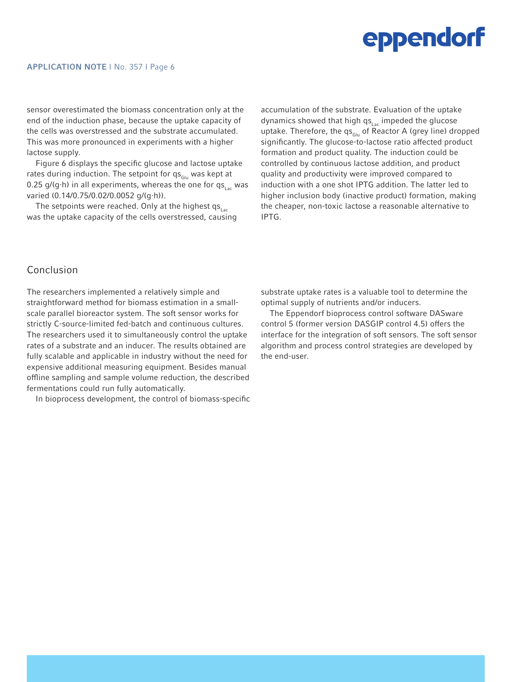#### APPLICATION NOTE I No. 357 I Page 6

sensor overestimated the biomass concentration only at the end of the induction phase, because the uptake capacity of the cells was overstressed and the substrate accumulated. This was more pronounced in experiments with a higher lactose supply.

Figure 6 displays the specific glucose and lactose uptake rates during induction. The setpoint for  $\mathsf{qs}_{\mathsf{Glu}}$  was kept at 0.25 g/(g⋅h) in all experiments, whereas the one for qs<sub>Lac</sub> was varied (0.14/0.75/0.02/0.0052 g/(g∙h)).

The setpoints were reached. Only at the highest  $qs<sub>Lac</sub>$ was the uptake capacity of the cells overstressed, causing accumulation of the substrate. Evaluation of the uptake dynamics showed that high  $qs<sub>lat</sub>$  impeded the glucose uptake. Therefore, the  $qs_{Glu}$  of Reactor A (grey line) dropped significantly. The glucose-to-lactose ratio affected product formation and product quality. The induction could be controlled by continuous lactose addition, and product quality and productivity were improved compared to induction with a one shot IPTG addition. The latter led to higher inclusion body (inactive product) formation, making the cheaper, non-toxic lactose a reasonable alternative to IPTG.

### Conclusion

The researchers implemented a relatively simple and straightforward method for biomass estimation in a smallscale parallel bioreactor system. The soft sensor works for strictly C-source-limited fed-batch and continuous cultures. The researchers used it to simultaneously control the uptake rates of a substrate and an inducer. The results obtained are fully scalable and applicable in industry without the need for expensive additional measuring equipment. Besides manual offline sampling and sample volume reduction, the described fermentations could run fully automatically.

In bioprocess development, the control of biomass-specific

substrate uptake rates is a valuable tool to determine the optimal supply of nutrients and/or inducers.

The Eppendorf bioprocess control software DASware control 5 (former version DASGIP control 4.5) offers the interface for the integration of soft sensors. The soft sensor algorithm and process control strategies are developed by the end-user.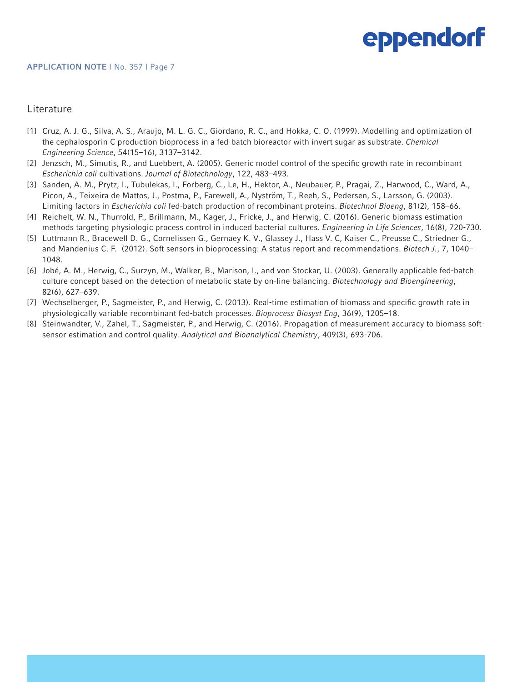### **Literature**

- [1] Cruz, A. J. G., Silva, A. S., Araujo, M. L. G. C., Giordano, R. C., and Hokka, C. O. (1999). Modelling and optimization of the cephalosporin C production bioprocess in a fed-batch bioreactor with invert sugar as substrate. *Chemical Engineering Science*, 54(15–16), 3137–3142.
- [2] Jenzsch, M., Simutis, R., and Luebbert, A. (2005). Generic model control of the specific growth rate in recombinant *Escherichia coli* cultivations. *Journal of Biotechnology*, 122, 483–493.
- [3] Sanden, A. M., Prytz, I., Tubulekas, I., Forberg, C., Le, H., Hektor, A., Neubauer, P., Pragai, Z., Harwood, C., Ward, A., Picon, A., Teixeira de Mattos, J., Postma, P., Farewell, A., Nyström, T., Reeh, S., Pedersen, S., Larsson, G. (2003). Limiting factors in *Escherichia coli* fed-batch production of recombinant proteins. *Biotechnol Bioeng*, 81(2), 158–66.
- [4] Reichelt, W. N., Thurrold, P., Brillmann, M., Kager, J., Fricke, J., and Herwig, C. (2016). Generic biomass estimation methods targeting physiologic process control in induced bacterial cultures. *Engineering in Life Sciences*, 16(8), 720-730.
- [5] Luttmann R., Bracewell D. G., Cornelissen G., Gernaey K. V., Glassey J., Hass V. C, Kaiser C., Preusse C., Striedner G., and Mandenius C. F. (2012). Soft sensors in bioprocessing: A status report and recommendations. *Biotech J.*, 7, 1040– 1048.
- [6] Jobé, A. M., Herwig, C., Surzyn, M., Walker, B., Marison, I., and von Stockar, U. (2003). Generally applicable fed-batch culture concept based on the detection of metabolic state by on-line balancing. *Biotechnology and Bioengineering*, 82(6), 627–639.
- [7] Wechselberger, P., Sagmeister, P., and Herwig, C. (2013). Real-time estimation of biomass and specific growth rate in physiologically variable recombinant fed-batch processes. *Bioprocess Biosyst Eng*, 36(9), 1205–18.
- [8] Steinwandter, V., Zahel, T., Sagmeister, P., and Herwig, C. (2016). Propagation of measurement accuracy to biomass softsensor estimation and control quality. *Analytical and Bioanalytical Chemistry*, 409(3), 693-706.